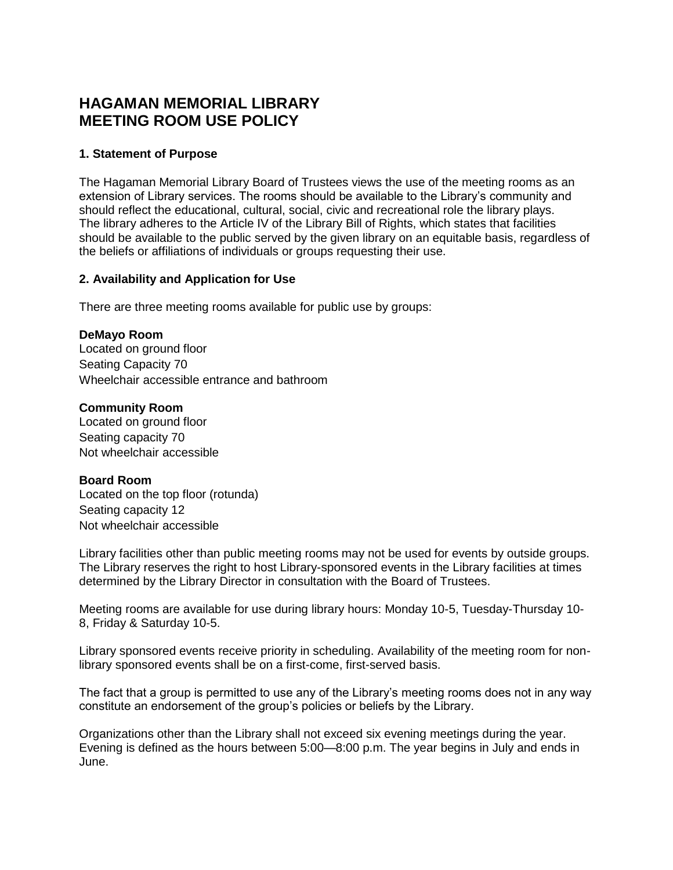# **HAGAMAN MEMORIAL LIBRARY MEETING ROOM USE POLICY**

## **1. Statement of Purpose**

The Hagaman Memorial Library Board of Trustees views the use of the meeting rooms as an extension of Library services. The rooms should be available to the Library's community and should reflect the educational, cultural, social, civic and recreational role the library plays. The library adheres to the Article IV of the Library Bill of Rights, which states that facilities should be available to the public served by the given library on an equitable basis, regardless of the beliefs or affiliations of individuals or groups requesting their use.

## **2. Availability and Application for Use**

There are three meeting rooms available for public use by groups:

### **DeMayo Room**

Located on ground floor Seating Capacity 70 Wheelchair accessible entrance and bathroom

### **Community Room**

Located on ground floor Seating capacity 70 Not wheelchair accessible

## **Board Room**

Located on the top floor (rotunda) Seating capacity 12 Not wheelchair accessible

Library facilities other than public meeting rooms may not be used for events by outside groups. The Library reserves the right to host Library-sponsored events in the Library facilities at times determined by the Library Director in consultation with the Board of Trustees.

Meeting rooms are available for use during library hours: Monday 10-5, Tuesday-Thursday 10- 8, Friday & Saturday 10-5.

Library sponsored events receive priority in scheduling. Availability of the meeting room for nonlibrary sponsored events shall be on a first-come, first-served basis.

The fact that a group is permitted to use any of the Library's meeting rooms does not in any way constitute an endorsement of the group's policies or beliefs by the Library.

Organizations other than the Library shall not exceed six evening meetings during the year. Evening is defined as the hours between 5:00—8:00 p.m. The year begins in July and ends in June.